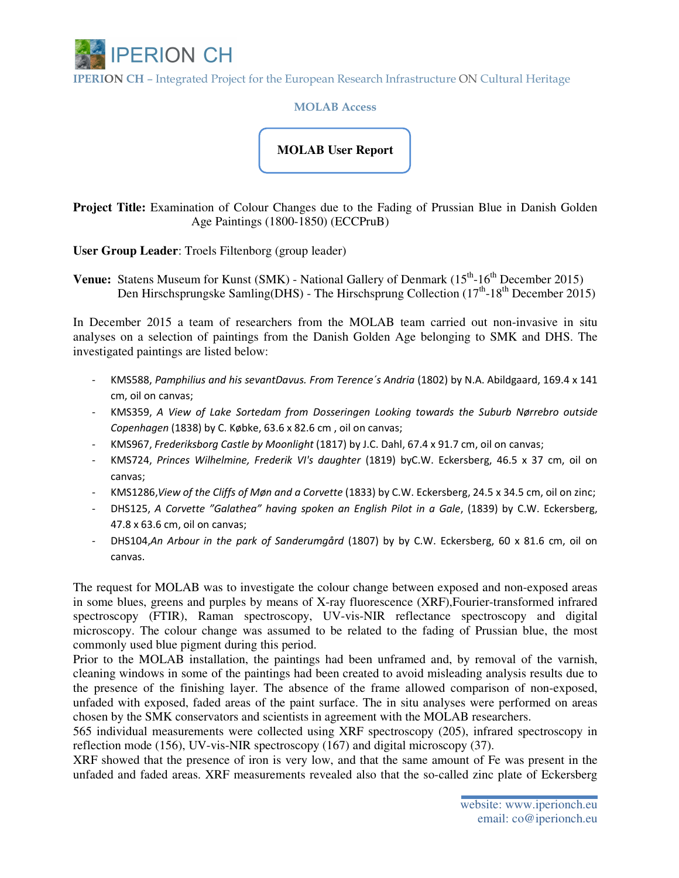

IPERION CH – Integrated Project for the European Research Infrastructure ON Cultural Heritage

MOLAB Access

## **MOLAB User Report**

**Project Title:** Examination of Colour Changes due to the Fading of Prussian Blue in Danish Golden Age Paintings (1800-1850) (ECCPruB)

**User Group Leader**: Troels Filtenborg (group leader)

**Venue:** Statens Museum for Kunst (SMK) - National Gallery of Denmark (15<sup>th</sup>-16<sup>th</sup> December 2015) Den Hirschsprungske Samling(DHS) - The Hirschsprung Collection ( $17<sup>th</sup>$ -18<sup>th</sup> December 2015)

In December 2015 a team of researchers from the MOLAB team carried out non-invasive in situ analyses on a selection of paintings from the Danish Golden Age belonging to SMK and DHS. The investigated paintings are listed below:

- KMS588, Pamphilius and his sevantDavus. From Terence´s Andria (1802) by N.A. Abildgaard, 169.4 x 141 cm, oil on canvas;
- KMS359, A View of Lake Sortedam from Dosseringen Looking towards the Suburb Nørrebro outside Copenhagen (1838) by C. Købke, 63.6 x 82.6 cm , oil on canvas;
- KMS967, Frederiksborg Castle by Moonlight (1817) by J.C. Dahl, 67.4 x 91.7 cm, oil on canvas;
- KMS724, Princes Wilhelmine, Frederik VI's daughter (1819) byC.W. Eckersberg, 46.5 x 37 cm, oil on canvas;
- KMS1286,View of the Cliffs of Møn and a Corvette (1833) by C.W. Eckersberg, 24.5 x 34.5 cm, oil on zinc;
- DHS125, A Corvette "Galathea" having spoken an English Pilot in a Gale, (1839) by C.W. Eckersberg, 47.8 x 63.6 cm, oil on canvas;
- DHS104,An Arbour in the park of Sanderumgård (1807) by by C.W. Eckersberg, 60 x 81.6 cm, oil on canvas.

The request for MOLAB was to investigate the colour change between exposed and non-exposed areas in some blues, greens and purples by means of X-ray fluorescence (XRF),Fourier-transformed infrared spectroscopy (FTIR), Raman spectroscopy, UV-vis-NIR reflectance spectroscopy and digital microscopy. The colour change was assumed to be related to the fading of Prussian blue, the most commonly used blue pigment during this period.

Prior to the MOLAB installation, the paintings had been unframed and, by removal of the varnish, cleaning windows in some of the paintings had been created to avoid misleading analysis results due to the presence of the finishing layer. The absence of the frame allowed comparison of non-exposed, unfaded with exposed, faded areas of the paint surface. The in situ analyses were performed on areas chosen by the SMK conservators and scientists in agreement with the MOLAB researchers.

565 individual measurements were collected using XRF spectroscopy (205), infrared spectroscopy in reflection mode (156), UV-vis-NIR spectroscopy (167) and digital microscopy (37).

XRF showed that the presence of iron is very low, and that the same amount of Fe was present in the unfaded and faded areas. XRF measurements revealed also that the so-called zinc plate of Eckersberg